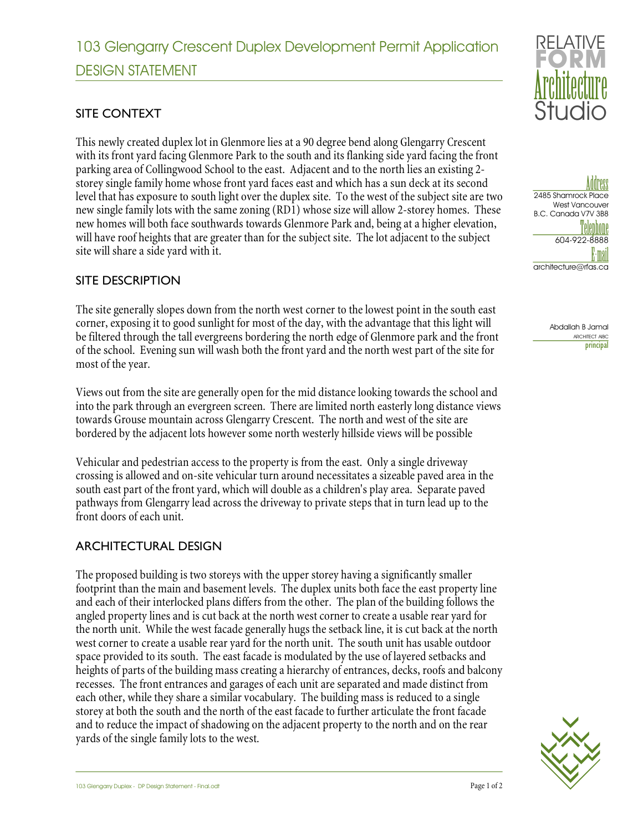## SITE CONTEXT

This newly created duplex lot in Glenmore lies at a 90 degree bend along Glengarry Crescent with its front yard facing Glenmore Park to the south and its flanking side yard facing the front parking area of Collingwood School to the east. Adjacent and to the north lies an existing 2 storey single family home whose front yard faces east and which has a sun deck at its second level that has exposure to south light over the duplex site. To the west of the subject site are two new single family lots with the same zoning (RD1) whose size will allow 2-storey homes. These new homes will both face southwards towards Glenmore Park and, being at a higher elevation, will have roof heights that are greater than for the subject site. The lot adjacent to the subject site will share a side yard with it.

### SITE DESCRIPTION

The site generally slopes down from the north west corner to the lowest point in the south east corner, exposing it to good sunlight for most of the day, with the advantage that this light will be filtered through the tall evergreens bordering the north edge of Glenmore park and the front of the school. Evening sun will wash both the front yard and the north west part of the site for most of the year.

Views out from the site are generally open for the mid distance looking towards the school and into the park through an evergreen screen. There are limited north easterly long distance views towards Grouse mountain across Glengarry Crescent. The north and west of the site are bordered by the adjacent lots however some north westerly hillside views will be possible

Vehicular and pedestrian access to the property is from the east. Only a single driveway crossing is allowed and on-site vehicular turn around necessitates a sizeable paved area in the south east part of the front yard, which will double as a children's play area. Separate paved pathways from Glengarry lead across the driveway to private steps that in turn lead up to the front doors of each unit.

### ARCHITECTURAL DESIGN

The proposed building is two storeys with the upper storey having a significantly smaller footprint than the main and basement levels. The duplex units both face the east property line and each of their interlocked plans differs from the other. The plan of the building follows the angled property lines and is cut back at the north west corner to create a usable rear yard for the north unit. While the west facade generally hugs the setback line, it is cut back at the north west corner to create a usable rear yard for the north unit. The south unit has usable outdoor space provided to its south. The east facade is modulated by the use of layered setbacks and heights of parts of the building mass creating a hierarchy of entrances, decks, roofs and balcony recesses. The front entrances and garages of each unit are separated and made distinct from each other, while they share a similar vocabulary. The building mass is reduced to a single storey at both the south and the north of the east facade to further articulate the front facade and to reduce the impact of shadowing on the adjacent property to the north and on the rear yards of the single family lots to the west.



Add<mark>ress</mark><br>2485 Shamrock Place West Vancouver B.C. Canada V7V 3B8 Telephone 604-922-8888 <mark>la mail</mark><br>Techitecture@rfas.ca

Abdallah B Jamal ARCHITECT AIBC principal